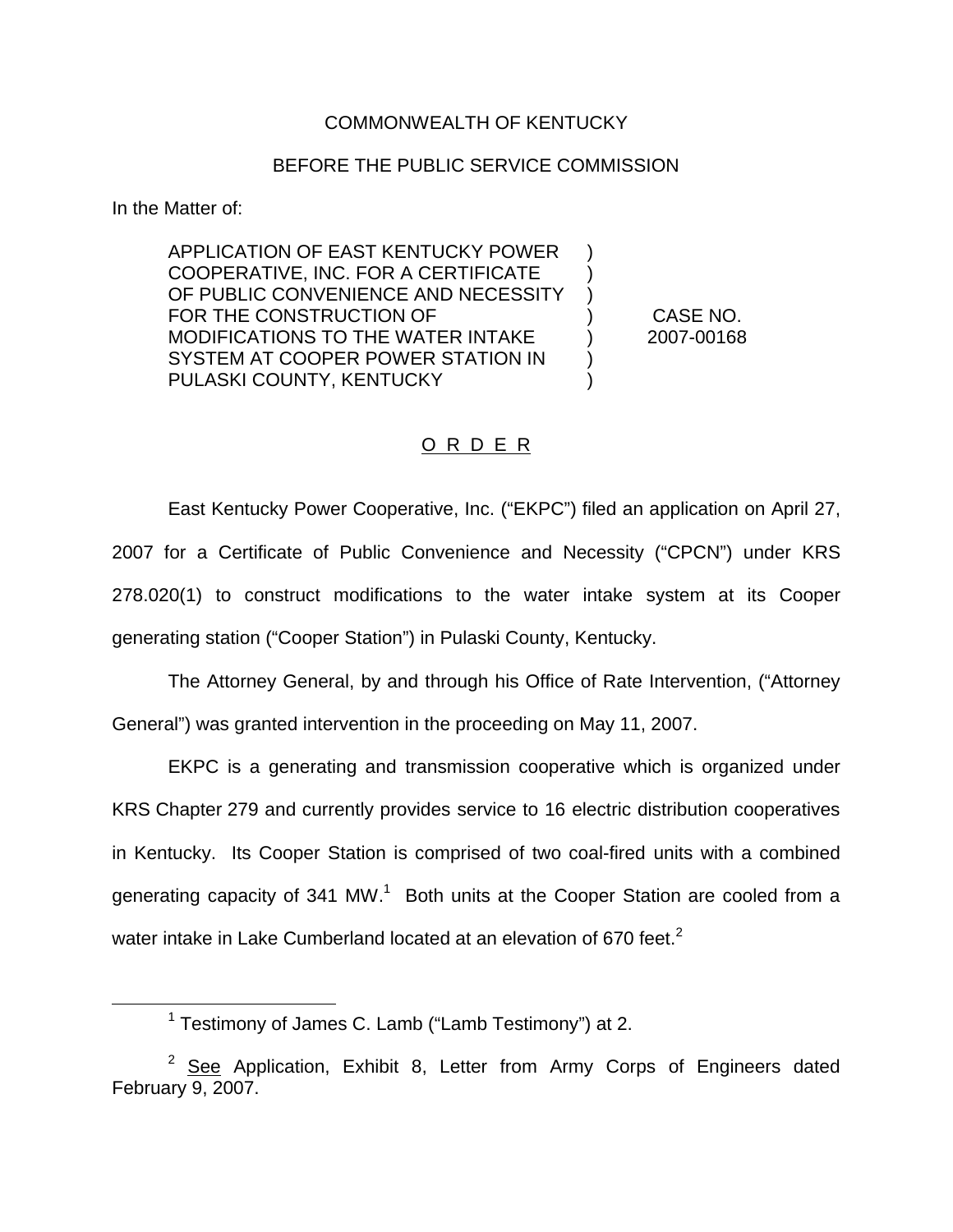## COMMONWEALTH OF KENTUCKY

## BEFORE THE PUBLIC SERVICE COMMISSION

In the Matter of:

APPLICATION OF EAST KENTUCKY POWER COOPERATIVE, INC. FOR A CERTIFICATE OF PUBLIC CONVENIENCE AND NECESSITY FOR THE CONSTRUCTION OF MODIFICATIONS TO THE WATER INTAKE SYSTEM AT COOPER POWER STATION IN PULASKI COUNTY, KENTUCKY ) ) ) ) ) ) )

CASE NO. 2007-00168

## O R D E R

East Kentucky Power Cooperative, Inc. ("EKPC") filed an application on April 27, 2007 for a Certificate of Public Convenience and Necessity ("CPCN") under KRS 278.020(1) to construct modifications to the water intake system at its Cooper generating station ("Cooper Station") in Pulaski County, Kentucky.

The Attorney General, by and through his Office of Rate Intervention, ("Attorney General") was granted intervention in the proceeding on May 11, 2007.

EKPC is a generating and transmission cooperative which is organized under KRS Chapter 279 and currently provides service to 16 electric distribution cooperatives in Kentucky. Its Cooper Station is comprised of two coal-fired units with a combined generating capacity of 341 MW.<sup>1</sup> Both units at the Cooper Station are cooled from a water intake in Lake Cumberland located at an elevation of 670 feet. $<sup>2</sup>$ </sup>

<sup>&</sup>lt;sup>1</sup> Testimony of James C. Lamb ("Lamb Testimony") at 2.

 $2$  See Application, Exhibit 8, Letter from Army Corps of Engineers dated February 9, 2007.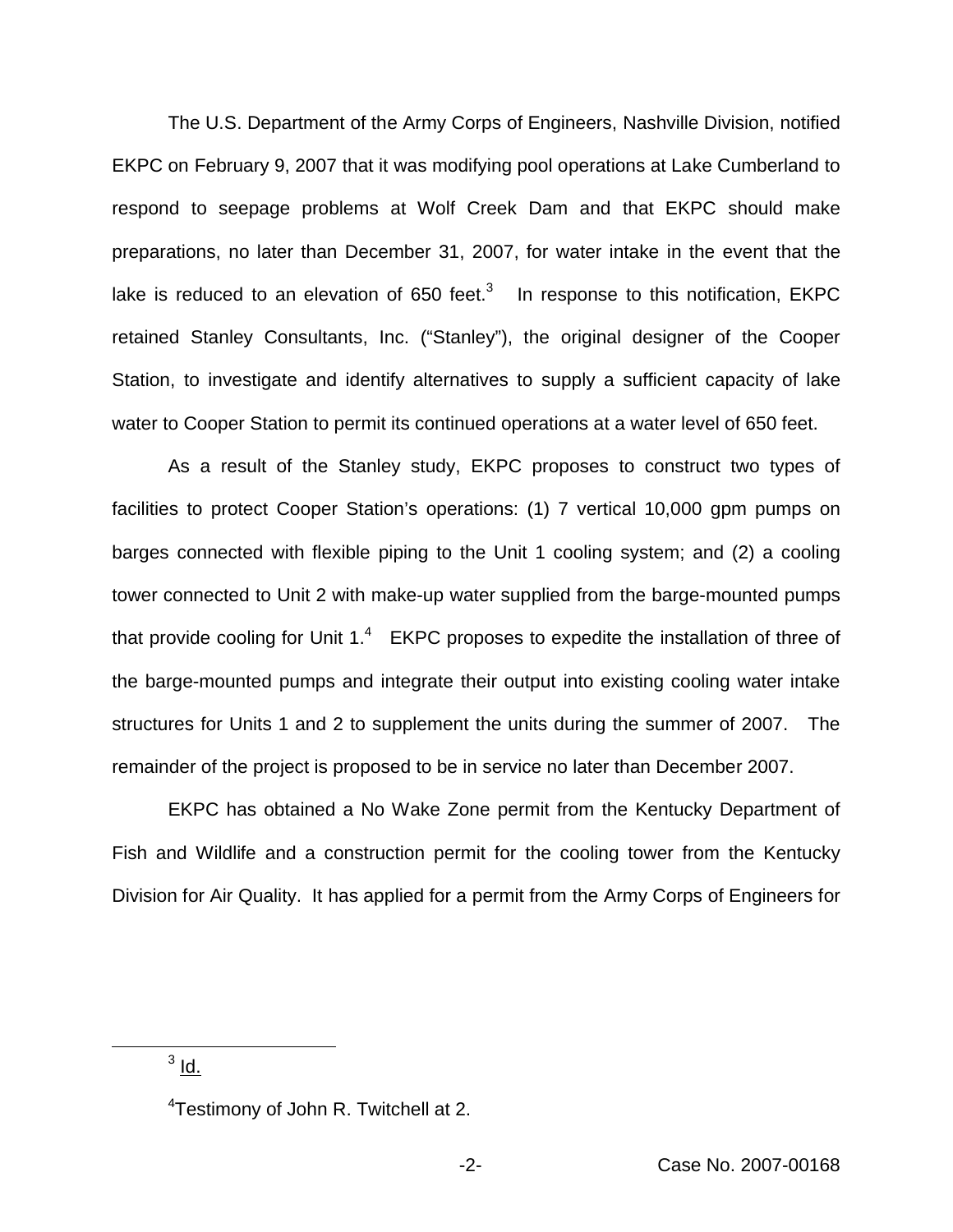The U.S. Department of the Army Corps of Engineers, Nashville Division, notified EKPC on February 9, 2007 that it was modifying pool operations at Lake Cumberland to respond to seepage problems at Wolf Creek Dam and that EKPC should make preparations, no later than December 31, 2007, for water intake in the event that the lake is reduced to an elevation of 650 feet. $3$  In response to this notification, EKPC retained Stanley Consultants, Inc. ("Stanley"), the original designer of the Cooper Station, to investigate and identify alternatives to supply a sufficient capacity of lake water to Cooper Station to permit its continued operations at a water level of 650 feet.

As a result of the Stanley study, EKPC proposes to construct two types of facilities to protect Cooper Station's operations: (1) 7 vertical 10,000 gpm pumps on barges connected with flexible piping to the Unit 1 cooling system; and (2) a cooling tower connected to Unit 2 with make-up water supplied from the barge-mounted pumps that provide cooling for Unit  $1<sup>4</sup>$  EKPC proposes to expedite the installation of three of the barge-mounted pumps and integrate their output into existing cooling water intake structures for Units 1 and 2 to supplement the units during the summer of 2007. The remainder of the project is proposed to be in service no later than December 2007.

EKPC has obtained a No Wake Zone permit from the Kentucky Department of Fish and Wildlife and a construction permit for the cooling tower from the Kentucky Division for Air Quality. It has applied for a permit from the Army Corps of Engineers for

 $3$   $\underline{\mathsf{Id}}$ .

<sup>&</sup>lt;sup>4</sup>Testimony of John R. Twitchell at 2.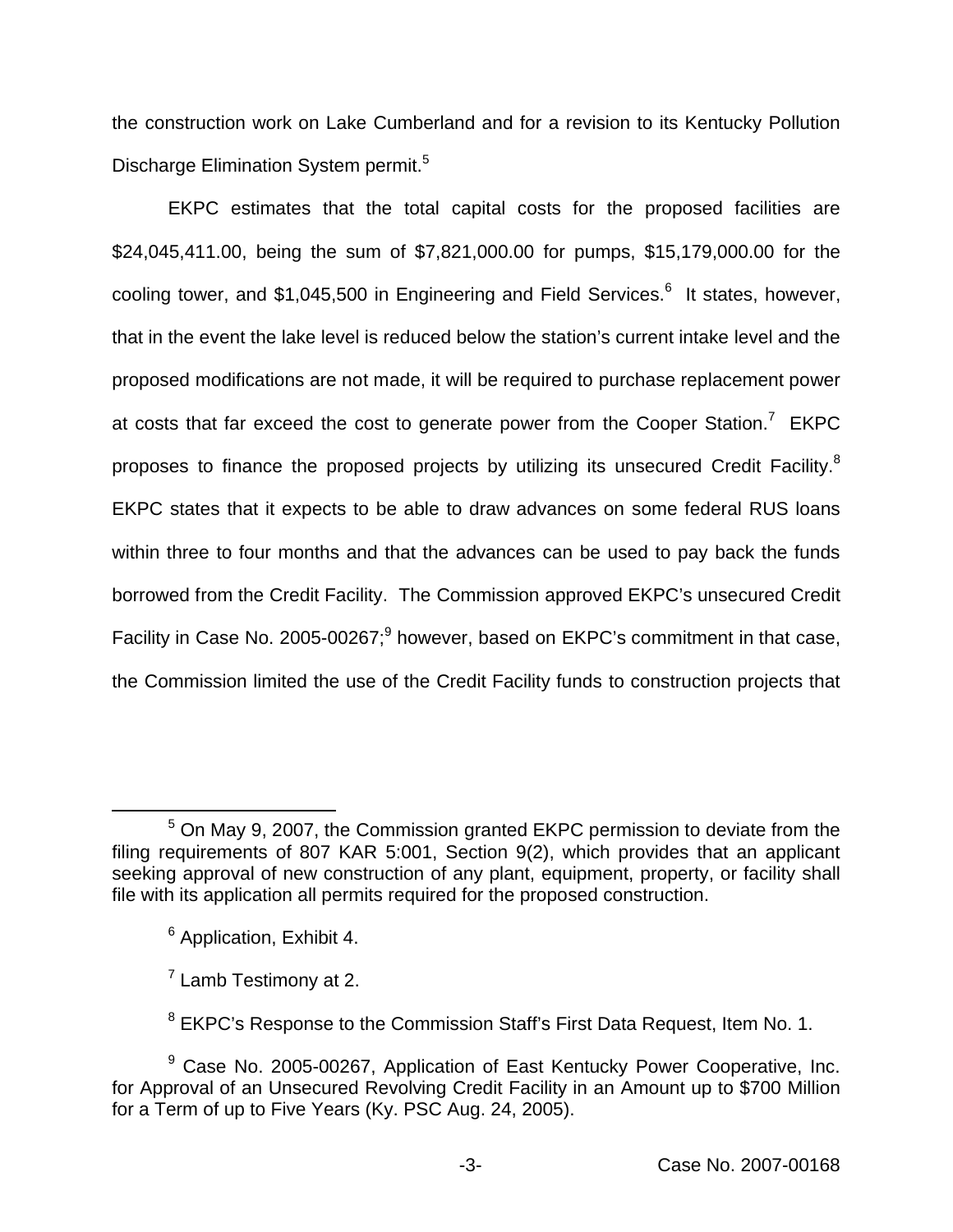the construction work on Lake Cumberland and for a revision to its Kentucky Pollution Discharge Elimination System permit.<sup>5</sup>

EKPC estimates that the total capital costs for the proposed facilities are \$24,045,411.00, being the sum of \$7,821,000.00 for pumps, \$15,179,000.00 for the cooling tower, and \$1,045,500 in Engineering and Field Services.<sup>6</sup> It states, however, that in the event the lake level is reduced below the station's current intake level and the proposed modifications are not made, it will be required to purchase replacement power at costs that far exceed the cost to generate power from the Cooper Station.<sup>7</sup> EKPC proposes to finance the proposed projects by utilizing its unsecured Credit Facility.<sup>8</sup> EKPC states that it expects to be able to draw advances on some federal RUS loans within three to four months and that the advances can be used to pay back the funds borrowed from the Credit Facility. The Commission approved EKPC's unsecured Credit Facility in Case No. 2005-00267;<sup>9</sup> however, based on EKPC's commitment in that case, the Commission limited the use of the Credit Facility funds to construction projects that

<sup>5</sup> On May 9, 2007, the Commission granted EKPC permission to deviate from the filing requirements of 807 KAR 5:001, Section 9(2), which provides that an applicant seeking approval of new construction of any plant, equipment, property, or facility shall file with its application all permits required for the proposed construction.

<sup>6</sup> Application, Exhibit 4.

 $<sup>7</sup>$  Lamb Testimony at 2.</sup>

 $8$  EKPC's Response to the Commission Staff's First Data Request, Item No. 1.

<sup>&</sup>lt;sup>9</sup> Case No. 2005-00267, Application of East Kentucky Power Cooperative, Inc. for Approval of an Unsecured Revolving Credit Facility in an Amount up to \$700 Million for a Term of up to Five Years (Ky. PSC Aug. 24, 2005).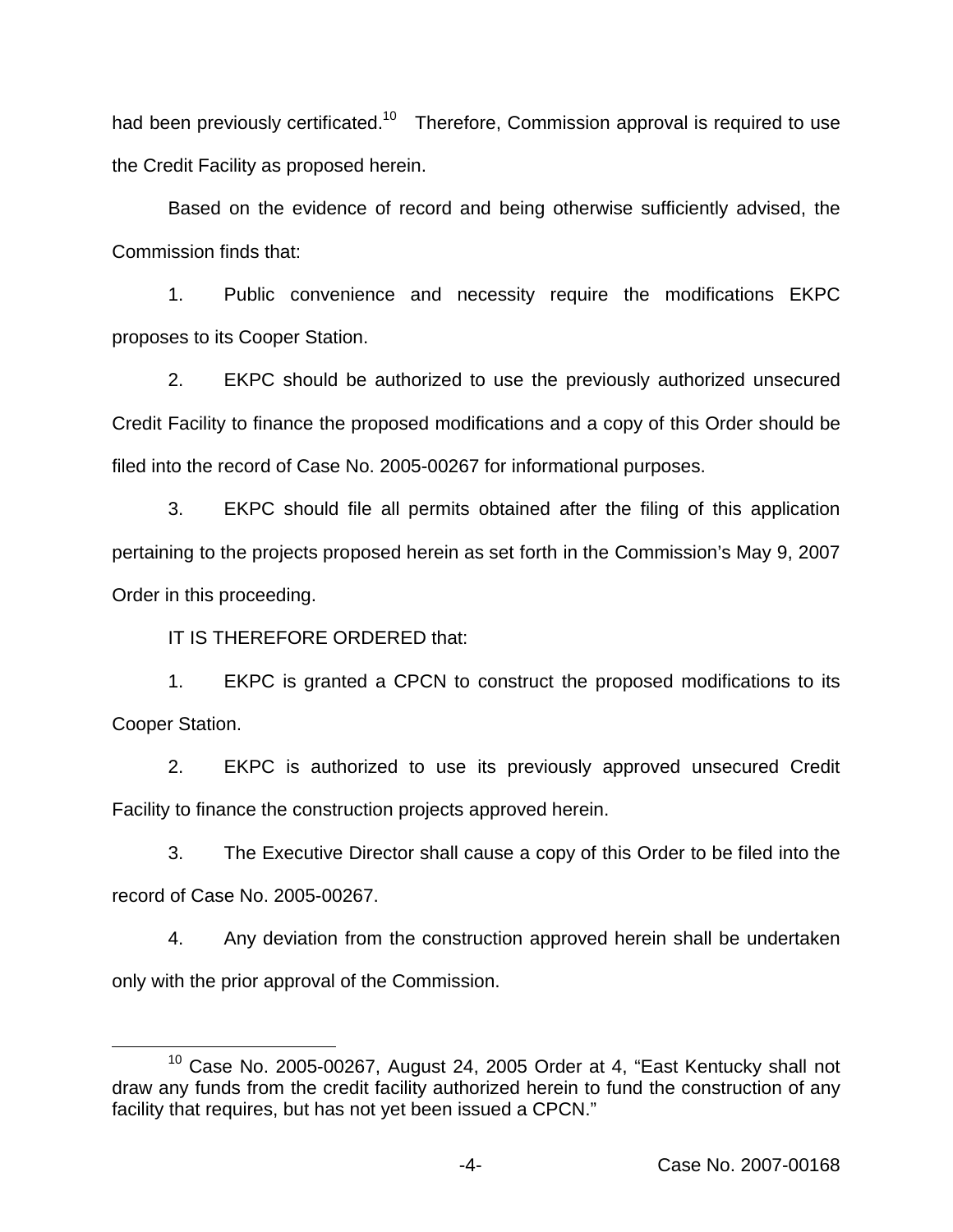had been previously certificated.<sup>10</sup> Therefore, Commission approval is required to use the Credit Facility as proposed herein.

Based on the evidence of record and being otherwise sufficiently advised, the Commission finds that:

1. Public convenience and necessity require the modifications EKPC proposes to its Cooper Station.

2. EKPC should be authorized to use the previously authorized unsecured Credit Facility to finance the proposed modifications and a copy of this Order should be filed into the record of Case No. 2005-00267 for informational purposes.

3. EKPC should file all permits obtained after the filing of this application pertaining to the projects proposed herein as set forth in the Commission's May 9, 2007 Order in this proceeding.

IT IS THEREFORE ORDERED that:

1. EKPC is granted a CPCN to construct the proposed modifications to its Cooper Station.

2. EKPC is authorized to use its previously approved unsecured Credit Facility to finance the construction projects approved herein.

3. The Executive Director shall cause a copy of this Order to be filed into the record of Case No. 2005-00267.

4. Any deviation from the construction approved herein shall be undertaken only with the prior approval of the Commission.

<sup>&</sup>lt;sup>10</sup> Case No. 2005-00267, August 24, 2005 Order at 4, "East Kentucky shall not draw any funds from the credit facility authorized herein to fund the construction of any facility that requires, but has not yet been issued a CPCN."